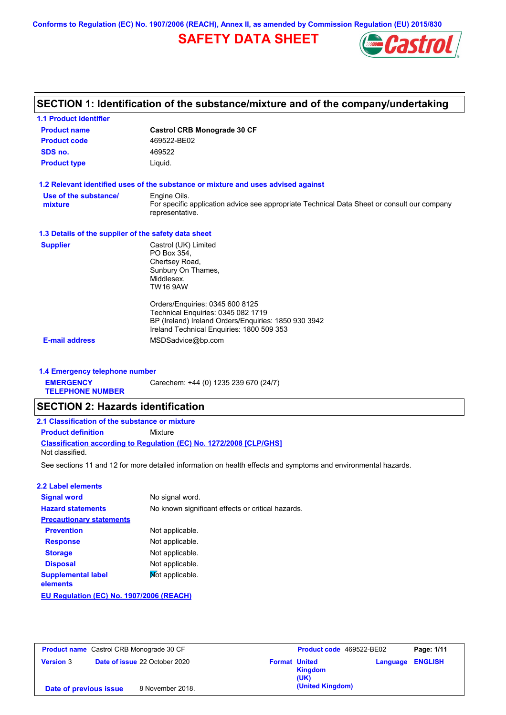**Conforms to Regulation (EC) No. 1907/2006 (REACH), Annex II, as amended by Commission Regulation (EU) 2015/830**

# **SAFETY DATA SHEET**



# **SECTION 1: Identification of the substance/mixture and of the company/undertaking**

| <b>1.1 Product identifier</b>                        |                                                                                                                                                                            |  |  |  |
|------------------------------------------------------|----------------------------------------------------------------------------------------------------------------------------------------------------------------------------|--|--|--|
| <b>Product name</b>                                  | <b>Castrol CRB Monograde 30 CF</b>                                                                                                                                         |  |  |  |
| <b>Product code</b>                                  | 469522-BE02                                                                                                                                                                |  |  |  |
| SDS no.                                              | 469522                                                                                                                                                                     |  |  |  |
| <b>Product type</b>                                  | Liquid.                                                                                                                                                                    |  |  |  |
|                                                      | 1.2 Relevant identified uses of the substance or mixture and uses advised against                                                                                          |  |  |  |
| Use of the substance/<br>mixture                     | Engine Oils.<br>For specific application advice see appropriate Technical Data Sheet or consult our company<br>representative.                                             |  |  |  |
| 1.3 Details of the supplier of the safety data sheet |                                                                                                                                                                            |  |  |  |
| <b>Supplier</b>                                      | Castrol (UK) Limited<br>PO Box 354.<br>Chertsey Road,<br>Sunbury On Thames,<br>Middlesex.<br><b>TW16 9AW</b>                                                               |  |  |  |
|                                                      | Orders/Enquiries: 0345 600 8125<br>Technical Enquiries: 0345 082 1719<br>BP (Ireland) Ireland Orders/Enquiries: 1850 930 3942<br>Ireland Technical Enquiries: 1800 509 353 |  |  |  |
| <b>E-mail address</b>                                | MSDSadvice@bp.com                                                                                                                                                          |  |  |  |

### **1.4 Emergency telephone number**

**EMERGENCY**  Carechem: +44 (0) 1235 239 670 (24/7)

**TELEPHONE NUMBER**

## **SECTION 2: Hazards identification**

| 2.1 Classification of the substance or mixture |                                                                     |  |
|------------------------------------------------|---------------------------------------------------------------------|--|
| <b>Product definition</b>                      | Mixture                                                             |  |
|                                                | Classification according to Regulation (EC) No. 1272/2008 [CLP/GHS] |  |
| Not classified.                                |                                                                     |  |

See sections 11 and 12 for more detailed information on health effects and symptoms and environmental hazards.

#### **2.2 Label elements**

| <b>Signal word</b>                       | No signal word.                                   |  |  |
|------------------------------------------|---------------------------------------------------|--|--|
| <b>Hazard statements</b>                 | No known significant effects or critical hazards. |  |  |
| <b>Precautionary statements</b>          |                                                   |  |  |
| <b>Prevention</b>                        | Not applicable.                                   |  |  |
| <b>Response</b>                          | Not applicable.                                   |  |  |
| <b>Storage</b>                           | Not applicable.                                   |  |  |
| <b>Disposal</b>                          | Not applicable.                                   |  |  |
| <b>Supplemental label</b><br>elements    | Not applicable.                                   |  |  |
| EU Regulation (EC) No. 1907/2006 (REACH) |                                                   |  |  |
|                                          |                                                   |  |  |

| <b>Product name</b> Castrol CRB Monograde 30 CF |                                      | Product code 469522-BE02 | Page: 1/11                                     |                         |
|-------------------------------------------------|--------------------------------------|--------------------------|------------------------------------------------|-------------------------|
| <b>Version 3</b>                                | <b>Date of issue 22 October 2020</b> |                          | <b>Format United</b><br><b>Kingdom</b><br>(UK) | <b>Language ENGLISH</b> |
| Date of previous issue                          | 8 November 2018.                     |                          | (United Kingdom)                               |                         |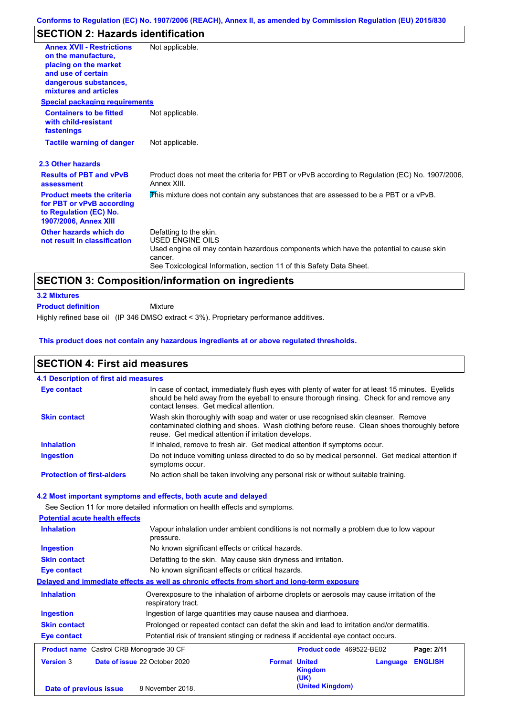### **SECTION 2: Hazards identification**

| <b>Annex XVII - Restrictions</b>                                                                                         | Not applicable.                                                                                               |
|--------------------------------------------------------------------------------------------------------------------------|---------------------------------------------------------------------------------------------------------------|
| on the manufacture.                                                                                                      |                                                                                                               |
| placing on the market                                                                                                    |                                                                                                               |
| and use of certain                                                                                                       |                                                                                                               |
| dangerous substances,                                                                                                    |                                                                                                               |
| mixtures and articles                                                                                                    |                                                                                                               |
| <b>Special packaging requirements</b>                                                                                    |                                                                                                               |
| <b>Containers to be fitted</b><br>with child-resistant<br>fastenings                                                     | Not applicable.                                                                                               |
| <b>Tactile warning of danger</b>                                                                                         | Not applicable.                                                                                               |
| 2.3 Other hazards                                                                                                        |                                                                                                               |
| <b>Results of PBT and vPvB</b><br>assessment                                                                             | Product does not meet the criteria for PBT or vPvB according to Regulation (EC) No. 1907/2006,<br>Annex XIII. |
| <b>Product meets the criteria</b><br>for PBT or vPvB according<br>to Regulation (EC) No.<br><b>1907/2006, Annex XIII</b> | This mixture does not contain any substances that are assessed to be a PBT or a vPvB.                         |
| Other hazards which do                                                                                                   | Defatting to the skin.                                                                                        |
| not result in classification                                                                                             | <b>USED ENGINE OILS</b>                                                                                       |
|                                                                                                                          | Used engine oil may contain hazardous components which have the potential to cause skin                       |
|                                                                                                                          | cancer.                                                                                                       |
|                                                                                                                          | See Toxicological Information, section 11 of this Safety Data Sheet.                                          |
|                                                                                                                          | <b>SECTION 3: Composition/information on ingredients</b>                                                      |
| <b>3.2 Mixtures</b>                                                                                                      |                                                                                                               |

Highly refined base oil (IP 346 DMSO extract < 3%). Proprietary performance additives. Mixture **Product definition**

#### **This product does not contain any hazardous ingredients at or above regulated thresholds.**

#### Do not induce vomiting unless directed to do so by medical personnel. Get medical attention if symptoms occur. In case of contact, immediately flush eyes with plenty of water for at least 15 minutes. Eyelids should be held away from the eyeball to ensure thorough rinsing. Check for and remove any contact lenses. Get medical attention. **4.1 Description of first aid measures** If inhaled, remove to fresh air. Get medical attention if symptoms occur. **Ingestion Inhalation Eye contact Protection of first-aiders** No action shall be taken involving any personal risk or without suitable training. **SECTION 4: First aid measures 4.2 Most important symptoms and effects, both acute and delayed Skin contact** Wash skin thoroughly with soap and water or use recognised skin cleanser. Remove contaminated clothing and shoes. Wash clothing before reuse. Clean shoes thoroughly before reuse. Get medical attention if irritation develops. See Section 11 for more detailed information on health effects and symptoms. **Potential acute health effects Inhalation** Vapour inhalation under ambient conditions is not normally a problem due to low vapour pressure. **Ingestion** No known significant effects or critical hazards. **Skin contact** Defatting to the skin. May cause skin dryness and irritation. **Eye contact** No known significant effects or critical hazards. **Delayed and immediate effects as well as chronic effects from short and long-term exposure Inhalation Ingestion Skin contact Eye contact** Overexposure to the inhalation of airborne droplets or aerosols may cause irritation of the respiratory tract. Ingestion of large quantities may cause nausea and diarrhoea. Prolonged or repeated contact can defat the skin and lead to irritation and/or dermatitis. Potential risk of transient stinging or redness if accidental eye contact occurs. **Product name** Castrol CRB Monograde 30 CF **Product Code** 469522-BE02 **Page: 2/11 Version** 3 **Date of issue** 22 October 2020 **Format United Kingdom (UK) Language ENGLISH Date of previous issue** 8 November 2018. **and Separate Convention (United Kingdom)**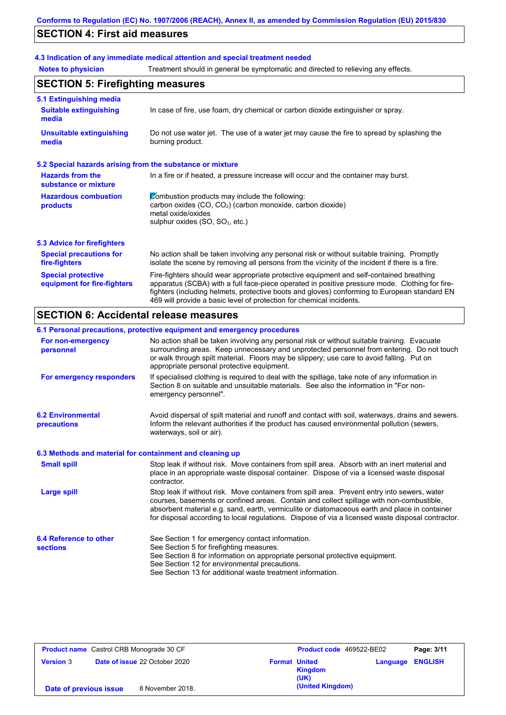# **SECTION 4: First aid measures**

## **4.3 Indication of any immediate medical attention and special treatment needed**

**Notes to physician** Treatment should in general be symptomatic and directed to relieving any effects.

| <b>SECTION 5: Firefighting measures</b>                           |                                                                                                                                                                                                                                                                                                                                                                   |  |  |
|-------------------------------------------------------------------|-------------------------------------------------------------------------------------------------------------------------------------------------------------------------------------------------------------------------------------------------------------------------------------------------------------------------------------------------------------------|--|--|
| 5.1 Extinguishing media<br><b>Suitable extinguishing</b><br>media | In case of fire, use foam, dry chemical or carbon dioxide extinguisher or spray.                                                                                                                                                                                                                                                                                  |  |  |
| <b>Unsuitable extinguishing</b><br>media                          | Do not use water jet. The use of a water jet may cause the fire to spread by splashing the<br>burning product.                                                                                                                                                                                                                                                    |  |  |
| 5.2 Special hazards arising from the substance or mixture         |                                                                                                                                                                                                                                                                                                                                                                   |  |  |
| <b>Hazards from the</b><br>substance or mixture                   | In a fire or if heated, a pressure increase will occur and the container may burst.                                                                                                                                                                                                                                                                               |  |  |
| <b>Hazardous combustion</b><br>products                           | Combustion products may include the following:<br>carbon oxides (CO, CO <sub>2</sub> ) (carbon monoxide, carbon dioxide)<br>metal oxide/oxides<br>sulphur oxides (SO, SO <sub>2</sub> , etc.)                                                                                                                                                                     |  |  |
| <b>5.3 Advice for firefighters</b>                                |                                                                                                                                                                                                                                                                                                                                                                   |  |  |
| <b>Special precautions for</b><br>fire-fighters                   | No action shall be taken involving any personal risk or without suitable training. Promptly<br>isolate the scene by removing all persons from the vicinity of the incident if there is a fire.                                                                                                                                                                    |  |  |
| <b>Special protective</b><br>equipment for fire-fighters          | Fire-fighters should wear appropriate protective equipment and self-contained breathing<br>apparatus (SCBA) with a full face-piece operated in positive pressure mode. Clothing for fire-<br>fighters (including helmets, protective boots and gloves) conforming to European standard EN<br>469 will provide a basic level of protection for chemical incidents. |  |  |

## **SECTION 6: Accidental release measures**

### **6.1 Personal precautions, protective equipment and emergency procedures**

| For non-emergency<br>personnel                           | No action shall be taken involving any personal risk or without suitable training. Evacuate<br>surrounding areas. Keep unnecessary and unprotected personnel from entering. Do not touch<br>or walk through spilt material. Floors may be slippery; use care to avoid falling. Put on<br>appropriate personal protective equipment.                                                            |
|----------------------------------------------------------|------------------------------------------------------------------------------------------------------------------------------------------------------------------------------------------------------------------------------------------------------------------------------------------------------------------------------------------------------------------------------------------------|
| For emergency responders                                 | If specialised clothing is required to deal with the spillage, take note of any information in<br>Section 8 on suitable and unsuitable materials. See also the information in "For non-<br>emergency personnel".                                                                                                                                                                               |
| <b>6.2 Environmental</b><br>precautions                  | Avoid dispersal of spilt material and runoff and contact with soil, waterways, drains and sewers.<br>Inform the relevant authorities if the product has caused environmental pollution (sewers,<br>waterways, soil or air).                                                                                                                                                                    |
| 6.3 Methods and material for containment and cleaning up |                                                                                                                                                                                                                                                                                                                                                                                                |
| <b>Small spill</b>                                       | Stop leak if without risk. Move containers from spill area. Absorb with an inert material and<br>place in an appropriate waste disposal container. Dispose of via a licensed waste disposal<br>contractor.                                                                                                                                                                                     |
| <b>Large spill</b>                                       | Stop leak if without risk. Move containers from spill area. Prevent entry into sewers, water<br>courses, basements or confined areas. Contain and collect spillage with non-combustible,<br>absorbent material e.g. sand, earth, vermiculite or diatomaceous earth and place in container<br>for disposal according to local regulations. Dispose of via a licensed waste disposal contractor. |
| <b>6.4 Reference to other</b><br><b>sections</b>         | See Section 1 for emergency contact information.<br>See Section 5 for firefighting measures.<br>See Section 8 for information on appropriate personal protective equipment.<br>See Section 12 for environmental precautions.<br>See Section 13 for additional waste treatment information.                                                                                                     |

| <b>Product name</b> Castrol CRB Monograde 30 CF |  | <b>Product code</b> 469522-BE02      |                      | Page: 3/11       |  |                         |
|-------------------------------------------------|--|--------------------------------------|----------------------|------------------|--|-------------------------|
| <b>Version 3</b>                                |  | <b>Date of issue 22 October 2020</b> | <b>Format United</b> | Kingdom<br>(UK)  |  | <b>Language ENGLISH</b> |
| Date of previous issue                          |  | 8 November 2018.                     |                      | (United Kingdom) |  |                         |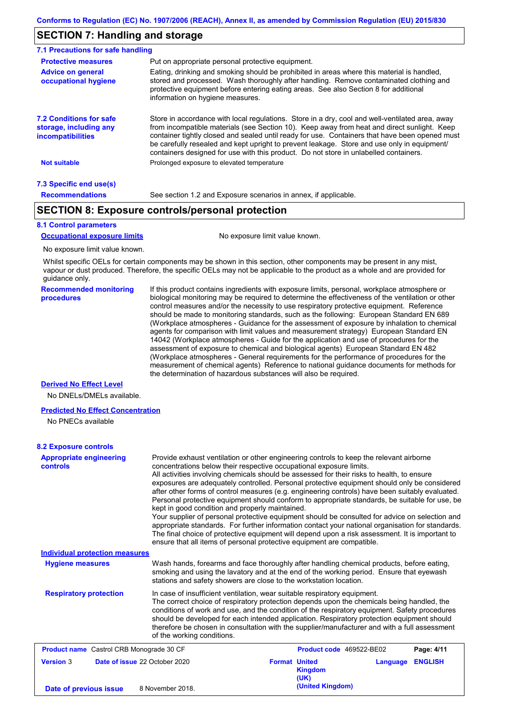### **SECTION 7: Handling and storage**

| 7.1 Precautions for safe handling                                                    |                                                                                                                                                                                                                                                                                                                                                                                                                                                                                          |  |  |  |  |
|--------------------------------------------------------------------------------------|------------------------------------------------------------------------------------------------------------------------------------------------------------------------------------------------------------------------------------------------------------------------------------------------------------------------------------------------------------------------------------------------------------------------------------------------------------------------------------------|--|--|--|--|
| <b>Protective measures</b>                                                           | Put on appropriate personal protective equipment.                                                                                                                                                                                                                                                                                                                                                                                                                                        |  |  |  |  |
| <b>Advice on general</b><br>occupational hygiene                                     | Eating, drinking and smoking should be prohibited in areas where this material is handled.<br>stored and processed. Wash thoroughly after handling. Remove contaminated clothing and<br>protective equipment before entering eating areas. See also Section 8 for additional<br>information on hygiene measures.                                                                                                                                                                         |  |  |  |  |
| <b>7.2 Conditions for safe</b><br>storage, including any<br><i>incompatibilities</i> | Store in accordance with local regulations. Store in a dry, cool and well-ventilated area, away<br>from incompatible materials (see Section 10). Keep away from heat and direct sunlight. Keep<br>container tightly closed and sealed until ready for use. Containers that have been opened must<br>be carefully resealed and kept upright to prevent leakage. Store and use only in equipment/<br>containers designed for use with this product. Do not store in unlabelled containers. |  |  |  |  |
| <b>Not suitable</b>                                                                  | Prolonged exposure to elevated temperature                                                                                                                                                                                                                                                                                                                                                                                                                                               |  |  |  |  |
| 7.3 Specific end use(s)                                                              |                                                                                                                                                                                                                                                                                                                                                                                                                                                                                          |  |  |  |  |
| <b>Recommendations</b>                                                               | See section 1.2 and Exposure scenarios in annex, if applicable.                                                                                                                                                                                                                                                                                                                                                                                                                          |  |  |  |  |

## **SECTION 8: Exposure controls/personal protection**

### **8.1 Control parameters**

**Occupational exposure limits** No exposure limit value known.

No exposure limit value known.

Whilst specific OELs for certain components may be shown in this section, other components may be present in any mist, vapour or dust produced. Therefore, the specific OELs may not be applicable to the product as a whole and are provided for guidance only.

**Recommended monitoring procedures** If this product contains ingredients with exposure limits, personal, workplace atmosphere or biological monitoring may be required to determine the effectiveness of the ventilation or other control measures and/or the necessity to use respiratory protective equipment. Reference should be made to monitoring standards, such as the following: European Standard EN 689 (Workplace atmospheres - Guidance for the assessment of exposure by inhalation to chemical agents for comparison with limit values and measurement strategy) European Standard EN 14042 (Workplace atmospheres - Guide for the application and use of procedures for the assessment of exposure to chemical and biological agents) European Standard EN 482 (Workplace atmospheres - General requirements for the performance of procedures for the measurement of chemical agents) Reference to national guidance documents for methods for the determination of hazardous substances will also be required.

### **Derived No Effect Level**

No DNELs/DMELs available.

#### **Predicted No Effect Concentration**

No PNECs available

### **8.2 Exposure controls**

| <b>Appropriate engineering</b><br><b>controls</b><br><b>Individual protection measures</b> | Provide exhaust ventilation or other engineering controls to keep the relevant airborne<br>concentrations below their respective occupational exposure limits.<br>All activities involving chemicals should be assessed for their risks to health, to ensure<br>exposures are adequately controlled. Personal protective equipment should only be considered<br>after other forms of control measures (e.g. engineering controls) have been suitably evaluated.<br>Personal protective equipment should conform to appropriate standards, be suitable for use, be<br>kept in good condition and properly maintained.<br>Your supplier of personal protective equipment should be consulted for advice on selection and<br>appropriate standards. For further information contact your national organisation for standards.<br>The final choice of protective equipment will depend upon a risk assessment. It is important to<br>ensure that all items of personal protective equipment are compatible. |                      |                          |          |                |
|--------------------------------------------------------------------------------------------|---------------------------------------------------------------------------------------------------------------------------------------------------------------------------------------------------------------------------------------------------------------------------------------------------------------------------------------------------------------------------------------------------------------------------------------------------------------------------------------------------------------------------------------------------------------------------------------------------------------------------------------------------------------------------------------------------------------------------------------------------------------------------------------------------------------------------------------------------------------------------------------------------------------------------------------------------------------------------------------------------------|----------------------|--------------------------|----------|----------------|
| <b>Hygiene measures</b>                                                                    | Wash hands, forearms and face thoroughly after handling chemical products, before eating,<br>smoking and using the lavatory and at the end of the working period. Ensure that eyewash<br>stations and safety showers are close to the workstation location.                                                                                                                                                                                                                                                                                                                                                                                                                                                                                                                                                                                                                                                                                                                                             |                      |                          |          |                |
| <b>Respiratory protection</b>                                                              | In case of insufficient ventilation, wear suitable respiratory equipment.<br>The correct choice of respiratory protection depends upon the chemicals being handled, the<br>conditions of work and use, and the condition of the respiratory equipment. Safety procedures<br>should be developed for each intended application. Respiratory protection equipment should<br>therefore be chosen in consultation with the supplier/manufacturer and with a full assessment<br>of the working conditions.                                                                                                                                                                                                                                                                                                                                                                                                                                                                                                   |                      |                          |          |                |
| <b>Product name</b> Castrol CRB Monograde 30 CF                                            |                                                                                                                                                                                                                                                                                                                                                                                                                                                                                                                                                                                                                                                                                                                                                                                                                                                                                                                                                                                                         |                      | Product code 469522-BE02 |          | Page: 4/11     |
| <b>Version 3</b>                                                                           | Date of issue 22 October 2020                                                                                                                                                                                                                                                                                                                                                                                                                                                                                                                                                                                                                                                                                                                                                                                                                                                                                                                                                                           | <b>Format United</b> | <b>Kingdom</b><br>(UK)   | Language | <b>ENGLISH</b> |
| Date of previous issue                                                                     | 8 November 2018.                                                                                                                                                                                                                                                                                                                                                                                                                                                                                                                                                                                                                                                                                                                                                                                                                                                                                                                                                                                        |                      | (United Kingdom)         |          |                |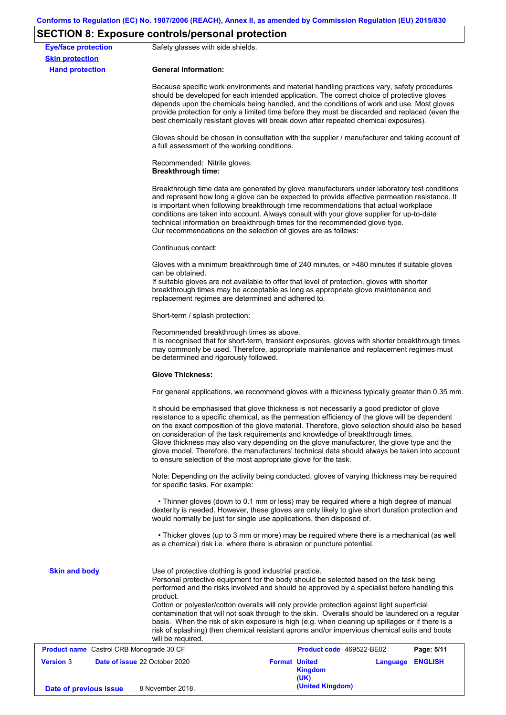# **SECTION 8: Exposure controls/personal protection**

|                                                      | $5 - 0.1$ . The component contribution of the control of $\alpha$                                                                                                                                                                                                                                                                                                                                                                                                                                                                                                                                                                                                                     |                                                                                                                                                                                                                                                                                                                                                                                                                                                                                  |                          |                  |            |  |  |
|------------------------------------------------------|---------------------------------------------------------------------------------------------------------------------------------------------------------------------------------------------------------------------------------------------------------------------------------------------------------------------------------------------------------------------------------------------------------------------------------------------------------------------------------------------------------------------------------------------------------------------------------------------------------------------------------------------------------------------------------------|----------------------------------------------------------------------------------------------------------------------------------------------------------------------------------------------------------------------------------------------------------------------------------------------------------------------------------------------------------------------------------------------------------------------------------------------------------------------------------|--------------------------|------------------|------------|--|--|
| <b>Eye/face protection</b><br><b>Skin protection</b> | Safety glasses with side shields.                                                                                                                                                                                                                                                                                                                                                                                                                                                                                                                                                                                                                                                     |                                                                                                                                                                                                                                                                                                                                                                                                                                                                                  |                          |                  |            |  |  |
| <b>Hand protection</b>                               | <b>General Information:</b>                                                                                                                                                                                                                                                                                                                                                                                                                                                                                                                                                                                                                                                           |                                                                                                                                                                                                                                                                                                                                                                                                                                                                                  |                          |                  |            |  |  |
|                                                      |                                                                                                                                                                                                                                                                                                                                                                                                                                                                                                                                                                                                                                                                                       | Because specific work environments and material handling practices vary, safety procedures<br>should be developed for each intended application. The correct choice of protective gloves<br>depends upon the chemicals being handled, and the conditions of work and use. Most gloves<br>provide protection for only a limited time before they must be discarded and replaced (even the<br>best chemically resistant gloves will break down after repeated chemical exposures). |                          |                  |            |  |  |
|                                                      | Gloves should be chosen in consultation with the supplier / manufacturer and taking account of<br>a full assessment of the working conditions.                                                                                                                                                                                                                                                                                                                                                                                                                                                                                                                                        |                                                                                                                                                                                                                                                                                                                                                                                                                                                                                  |                          |                  |            |  |  |
|                                                      | Recommended: Nitrile gloves.<br><b>Breakthrough time:</b>                                                                                                                                                                                                                                                                                                                                                                                                                                                                                                                                                                                                                             |                                                                                                                                                                                                                                                                                                                                                                                                                                                                                  |                          |                  |            |  |  |
|                                                      | Breakthrough time data are generated by glove manufacturers under laboratory test conditions<br>and represent how long a glove can be expected to provide effective permeation resistance. It<br>is important when following breakthrough time recommendations that actual workplace<br>conditions are taken into account. Always consult with your glove supplier for up-to-date<br>technical information on breakthrough times for the recommended glove type.<br>Our recommendations on the selection of gloves are as follows:                                                                                                                                                    |                                                                                                                                                                                                                                                                                                                                                                                                                                                                                  |                          |                  |            |  |  |
|                                                      | Continuous contact:                                                                                                                                                                                                                                                                                                                                                                                                                                                                                                                                                                                                                                                                   |                                                                                                                                                                                                                                                                                                                                                                                                                                                                                  |                          |                  |            |  |  |
|                                                      | can be obtained.                                                                                                                                                                                                                                                                                                                                                                                                                                                                                                                                                                                                                                                                      | Gloves with a minimum breakthrough time of 240 minutes, or >480 minutes if suitable gloves<br>If suitable gloves are not available to offer that level of protection, gloves with shorter<br>breakthrough times may be acceptable as long as appropriate glove maintenance and<br>replacement regimes are determined and adhered to.                                                                                                                                             |                          |                  |            |  |  |
|                                                      | Short-term / splash protection:                                                                                                                                                                                                                                                                                                                                                                                                                                                                                                                                                                                                                                                       |                                                                                                                                                                                                                                                                                                                                                                                                                                                                                  |                          |                  |            |  |  |
|                                                      | Recommended breakthrough times as above.<br>It is recognised that for short-term, transient exposures, gloves with shorter breakthrough times<br>may commonly be used. Therefore, appropriate maintenance and replacement regimes must<br>be determined and rigorously followed.                                                                                                                                                                                                                                                                                                                                                                                                      |                                                                                                                                                                                                                                                                                                                                                                                                                                                                                  |                          |                  |            |  |  |
|                                                      | <b>Glove Thickness:</b>                                                                                                                                                                                                                                                                                                                                                                                                                                                                                                                                                                                                                                                               |                                                                                                                                                                                                                                                                                                                                                                                                                                                                                  |                          |                  |            |  |  |
|                                                      | For general applications, we recommend gloves with a thickness typically greater than 0.35 mm.                                                                                                                                                                                                                                                                                                                                                                                                                                                                                                                                                                                        |                                                                                                                                                                                                                                                                                                                                                                                                                                                                                  |                          |                  |            |  |  |
|                                                      | It should be emphasised that glove thickness is not necessarily a good predictor of glove<br>resistance to a specific chemical, as the permeation efficiency of the glove will be dependent<br>on the exact composition of the glove material. Therefore, glove selection should also be based<br>on consideration of the task requirements and knowledge of breakthrough times.<br>Glove thickness may also vary depending on the glove manufacturer, the glove type and the<br>glove model. Therefore, the manufacturers' technical data should always be taken into account<br>to ensure selection of the most appropriate glove for the task.                                     |                                                                                                                                                                                                                                                                                                                                                                                                                                                                                  |                          |                  |            |  |  |
|                                                      | Note: Depending on the activity being conducted, gloves of varying thickness may be required<br>for specific tasks. For example:                                                                                                                                                                                                                                                                                                                                                                                                                                                                                                                                                      |                                                                                                                                                                                                                                                                                                                                                                                                                                                                                  |                          |                  |            |  |  |
|                                                      | • Thinner gloves (down to 0.1 mm or less) may be required where a high degree of manual<br>dexterity is needed. However, these gloves are only likely to give short duration protection and<br>would normally be just for single use applications, then disposed of.                                                                                                                                                                                                                                                                                                                                                                                                                  |                                                                                                                                                                                                                                                                                                                                                                                                                                                                                  |                          |                  |            |  |  |
|                                                      | • Thicker gloves (up to 3 mm or more) may be required where there is a mechanical (as well<br>as a chemical) risk i.e. where there is abrasion or puncture potential.                                                                                                                                                                                                                                                                                                                                                                                                                                                                                                                 |                                                                                                                                                                                                                                                                                                                                                                                                                                                                                  |                          |                  |            |  |  |
| <b>Skin and body</b>                                 | Use of protective clothing is good industrial practice.<br>Personal protective equipment for the body should be selected based on the task being<br>performed and the risks involved and should be approved by a specialist before handling this<br>product.<br>Cotton or polyester/cotton overalls will only provide protection against light superficial<br>contamination that will not soak through to the skin. Overalls should be laundered on a regular<br>basis. When the risk of skin exposure is high (e.g. when cleaning up spillages or if there is a<br>risk of splashing) then chemical resistant aprons and/or impervious chemical suits and boots<br>will be required. |                                                                                                                                                                                                                                                                                                                                                                                                                                                                                  |                          |                  |            |  |  |
| Product name Castrol CRB Monograde 30 CF             |                                                                                                                                                                                                                                                                                                                                                                                                                                                                                                                                                                                                                                                                                       |                                                                                                                                                                                                                                                                                                                                                                                                                                                                                  | Product code 469522-BE02 |                  | Page: 5/11 |  |  |
| <b>Version 3</b>                                     | Date of issue 22 October 2020                                                                                                                                                                                                                                                                                                                                                                                                                                                                                                                                                                                                                                                         | <b>Format United</b>                                                                                                                                                                                                                                                                                                                                                                                                                                                             | <b>Kingdom</b><br>(UK)   | Language ENGLISH |            |  |  |
| Date of previous issue                               | 8 November 2018.                                                                                                                                                                                                                                                                                                                                                                                                                                                                                                                                                                                                                                                                      |                                                                                                                                                                                                                                                                                                                                                                                                                                                                                  | (United Kingdom)         |                  |            |  |  |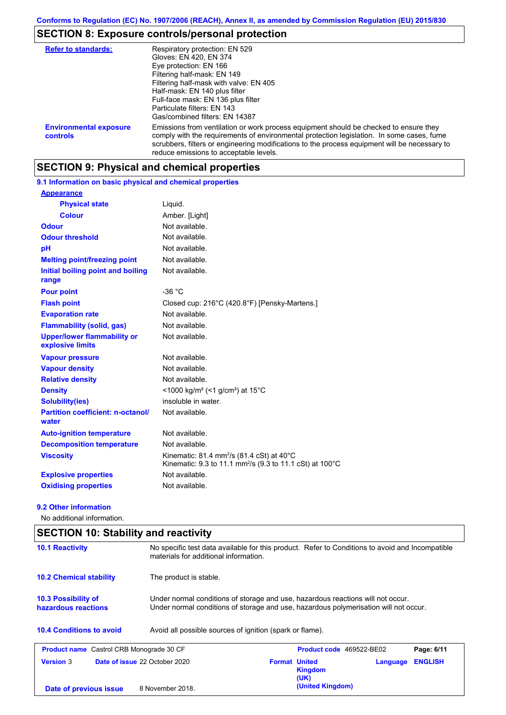# **SECTION 8: Exposure controls/personal protection**

| <b>Refer to standards:</b>                | Respiratory protection: EN 529<br>Gloves: EN 420, EN 374<br>Eye protection: EN 166<br>Filtering half-mask: EN 149<br>Filtering half-mask with valve: EN 405<br>Half-mask: EN 140 plus filter<br>Full-face mask: EN 136 plus filter<br>Particulate filters: EN 143<br>Gas/combined filters: EN 14387                           |
|-------------------------------------------|-------------------------------------------------------------------------------------------------------------------------------------------------------------------------------------------------------------------------------------------------------------------------------------------------------------------------------|
| <b>Environmental exposure</b><br>controls | Emissions from ventilation or work process equipment should be checked to ensure they<br>comply with the requirements of environmental protection legislation. In some cases, fume<br>scrubbers, filters or engineering modifications to the process equipment will be necessary to<br>reduce emissions to acceptable levels. |

## **SECTION 9: Physical and chemical properties**

**9.1 Information on basic physical and chemical properties**

| <b>Appearance</b>                                      |                                                                                                                                         |
|--------------------------------------------------------|-----------------------------------------------------------------------------------------------------------------------------------------|
| <b>Physical state</b>                                  | Liquid.                                                                                                                                 |
| <b>Colour</b>                                          | Amber. [Light]                                                                                                                          |
| <b>Odour</b>                                           | Not available.                                                                                                                          |
| <b>Odour threshold</b>                                 | Not available.                                                                                                                          |
| pH                                                     | Not available.                                                                                                                          |
| <b>Melting point/freezing point</b>                    | Not available.                                                                                                                          |
| Initial boiling point and boiling<br>range             | Not available.                                                                                                                          |
| <b>Pour point</b>                                      | $-36 °C$                                                                                                                                |
| <b>Flash point</b>                                     | Closed cup: 216°C (420.8°F) [Pensky-Martens.]                                                                                           |
| <b>Evaporation rate</b>                                | Not available.                                                                                                                          |
| <b>Flammability (solid, gas)</b>                       | Not available.                                                                                                                          |
| <b>Upper/lower flammability or</b><br>explosive limits | Not available.                                                                                                                          |
| <b>Vapour pressure</b>                                 | Not available.                                                                                                                          |
| <b>Vapour density</b>                                  | Not available.                                                                                                                          |
| <b>Relative density</b>                                | Not available.                                                                                                                          |
| <b>Density</b>                                         | <1000 kg/m <sup>3</sup> (<1 g/cm <sup>3</sup> ) at 15 <sup>°</sup> C                                                                    |
| <b>Solubility(ies)</b>                                 | insoluble in water.                                                                                                                     |
| <b>Partition coefficient: n-octanol/</b><br>water      | Not available.                                                                                                                          |
| <b>Auto-ignition temperature</b>                       | Not available.                                                                                                                          |
| <b>Decomposition temperature</b>                       | Not available.                                                                                                                          |
| <b>Viscosity</b>                                       | Kinematic: 81.4 mm <sup>2</sup> /s (81.4 cSt) at $40^{\circ}$ C<br>Kinematic: 9.3 to 11.1 mm <sup>2</sup> /s (9.3 to 11.1 cSt) at 100°C |
| <b>Explosive properties</b>                            | Not available.                                                                                                                          |
| <b>Oxidising properties</b>                            | Not available.                                                                                                                          |

### **9.2 Other information**

No additional information.

| <b>SECTION 10: Stability and reactivity</b>                                                                                                                                                                                  |                                                                                                                                          |  |                                         |          |                |
|------------------------------------------------------------------------------------------------------------------------------------------------------------------------------------------------------------------------------|------------------------------------------------------------------------------------------------------------------------------------------|--|-----------------------------------------|----------|----------------|
| <b>10.1 Reactivity</b>                                                                                                                                                                                                       | No specific test data available for this product. Refer to Conditions to avoid and Incompatible<br>materials for additional information. |  |                                         |          |                |
| <b>10.2 Chemical stability</b><br>The product is stable.                                                                                                                                                                     |                                                                                                                                          |  |                                         |          |                |
| Under normal conditions of storage and use, hazardous reactions will not occur.<br><b>10.3 Possibility of</b><br>Under normal conditions of storage and use, hazardous polymerisation will not occur.<br>hazardous reactions |                                                                                                                                          |  |                                         |          |                |
| <b>10.4 Conditions to avoid</b>                                                                                                                                                                                              | Avoid all possible sources of ignition (spark or flame).                                                                                 |  |                                         |          |                |
| <b>Product name</b> Castrol CRB Monograde 30 CF                                                                                                                                                                              |                                                                                                                                          |  | <b>Product code</b> 469522-BE02         |          | Page: 6/11     |
| <b>Version 3</b>                                                                                                                                                                                                             | Date of issue 22 October 2020                                                                                                            |  | <b>Format United</b><br>Kingdom<br>(UK) | Language | <b>ENGLISH</b> |
| Date of previous issue                                                                                                                                                                                                       | 8 November 2018.                                                                                                                         |  | (United Kingdom)                        |          |                |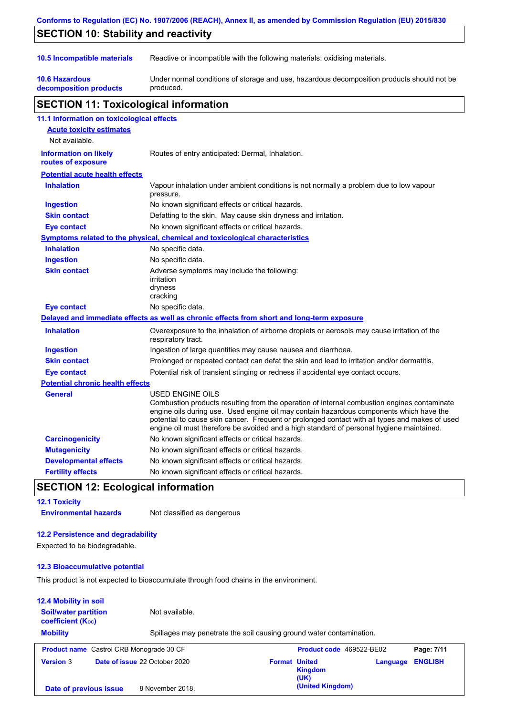| Conforms to Regulation (EC) No. 1907/2006 (REACH), Annex II, as amended by Commission Regulation (EU) 2015/830 |                                                                                                                                                                                                                                                                                                                                                                                                          |  |  |
|----------------------------------------------------------------------------------------------------------------|----------------------------------------------------------------------------------------------------------------------------------------------------------------------------------------------------------------------------------------------------------------------------------------------------------------------------------------------------------------------------------------------------------|--|--|
| <b>SECTION 10: Stability and reactivity</b>                                                                    |                                                                                                                                                                                                                                                                                                                                                                                                          |  |  |
| 10.5 Incompatible materials                                                                                    | Reactive or incompatible with the following materials: oxidising materials.                                                                                                                                                                                                                                                                                                                              |  |  |
| <b>10.6 Hazardous</b><br>decomposition products                                                                | Under normal conditions of storage and use, hazardous decomposition products should not be<br>produced.                                                                                                                                                                                                                                                                                                  |  |  |
| <b>SECTION 11: Toxicological information</b>                                                                   |                                                                                                                                                                                                                                                                                                                                                                                                          |  |  |
| 11.1 Information on toxicological effects                                                                      |                                                                                                                                                                                                                                                                                                                                                                                                          |  |  |
| <b>Acute toxicity estimates</b>                                                                                |                                                                                                                                                                                                                                                                                                                                                                                                          |  |  |
| Not available.                                                                                                 |                                                                                                                                                                                                                                                                                                                                                                                                          |  |  |
| <b>Information on likely</b><br>routes of exposure                                                             | Routes of entry anticipated: Dermal, Inhalation.                                                                                                                                                                                                                                                                                                                                                         |  |  |
| <b>Potential acute health effects</b>                                                                          |                                                                                                                                                                                                                                                                                                                                                                                                          |  |  |
| <b>Inhalation</b>                                                                                              | Vapour inhalation under ambient conditions is not normally a problem due to low vapour<br>pressure.                                                                                                                                                                                                                                                                                                      |  |  |
| <b>Ingestion</b>                                                                                               | No known significant effects or critical hazards.                                                                                                                                                                                                                                                                                                                                                        |  |  |
| <b>Skin contact</b>                                                                                            | Defatting to the skin. May cause skin dryness and irritation.                                                                                                                                                                                                                                                                                                                                            |  |  |
| <b>Eye contact</b>                                                                                             | No known significant effects or critical hazards.                                                                                                                                                                                                                                                                                                                                                        |  |  |
|                                                                                                                | Symptoms related to the physical, chemical and toxicological characteristics                                                                                                                                                                                                                                                                                                                             |  |  |
| <b>Inhalation</b>                                                                                              | No specific data.                                                                                                                                                                                                                                                                                                                                                                                        |  |  |
| <b>Ingestion</b>                                                                                               | No specific data.                                                                                                                                                                                                                                                                                                                                                                                        |  |  |
| <b>Skin contact</b>                                                                                            | Adverse symptoms may include the following:<br>irritation<br>dryness<br>cracking                                                                                                                                                                                                                                                                                                                         |  |  |
| <b>Eye contact</b>                                                                                             | No specific data.                                                                                                                                                                                                                                                                                                                                                                                        |  |  |
|                                                                                                                | Delayed and immediate effects as well as chronic effects from short and long-term exposure                                                                                                                                                                                                                                                                                                               |  |  |
| <b>Inhalation</b>                                                                                              | Overexposure to the inhalation of airborne droplets or aerosols may cause irritation of the<br>respiratory tract.                                                                                                                                                                                                                                                                                        |  |  |
| <b>Ingestion</b>                                                                                               | Ingestion of large quantities may cause nausea and diarrhoea.                                                                                                                                                                                                                                                                                                                                            |  |  |
| <b>Skin contact</b>                                                                                            | Prolonged or repeated contact can defat the skin and lead to irritation and/or dermatitis.                                                                                                                                                                                                                                                                                                               |  |  |
| <b>Eye contact</b>                                                                                             | Potential risk of transient stinging or redness if accidental eye contact occurs.                                                                                                                                                                                                                                                                                                                        |  |  |
| <b>Potential chronic health effects</b>                                                                        |                                                                                                                                                                                                                                                                                                                                                                                                          |  |  |
| General                                                                                                        | USED ENGINE OILS<br>Combustion products resulting from the operation of internal combustion engines contaminate<br>engine oils during use. Used engine oil may contain hazardous components which have the<br>potential to cause skin cancer. Frequent or prolonged contact with all types and makes of used<br>engine oil must therefore be avoided and a high standard of personal hygiene maintained. |  |  |
| <b>Carcinogenicity</b>                                                                                         | No known significant effects or critical hazards.                                                                                                                                                                                                                                                                                                                                                        |  |  |
| <b>Mutagenicity</b>                                                                                            | No known significant effects or critical hazards.                                                                                                                                                                                                                                                                                                                                                        |  |  |
| <b>Developmental effects</b>                                                                                   | No known significant effects or critical hazards.                                                                                                                                                                                                                                                                                                                                                        |  |  |
| <b>Fertility effects</b>                                                                                       | No known significant effects or critical hazards.                                                                                                                                                                                                                                                                                                                                                        |  |  |

## **SECTION 12: Ecological information**

**12.1 Toxicity Environmental hazards** Not classified as dangerous

### **12.2 Persistence and degradability**

Expected to be biodegradable.

### **12.3 Bioaccumulative potential**

This product is not expected to bioaccumulate through food chains in the environment.

### **12.4 Mobility in soil**

| <b>Soil/water partition</b><br>coefficient $(K_{oc})$ |                                                 | Not available.                                                       |                                                |          |                |
|-------------------------------------------------------|-------------------------------------------------|----------------------------------------------------------------------|------------------------------------------------|----------|----------------|
| <b>Mobility</b>                                       |                                                 | Spillages may penetrate the soil causing ground water contamination. |                                                |          |                |
|                                                       | <b>Product name</b> Castrol CRB Monograde 30 CF |                                                                      | <b>Product code</b> 469522-BE02                |          | Page: 7/11     |
| <b>Version 3</b>                                      | Date of issue 22 October 2020                   |                                                                      | <b>Format United</b><br><b>Kingdom</b><br>(UK) | Language | <b>ENGLISH</b> |
| Date of previous issue                                |                                                 | 8 November 2018.                                                     | (United Kingdom)                               |          |                |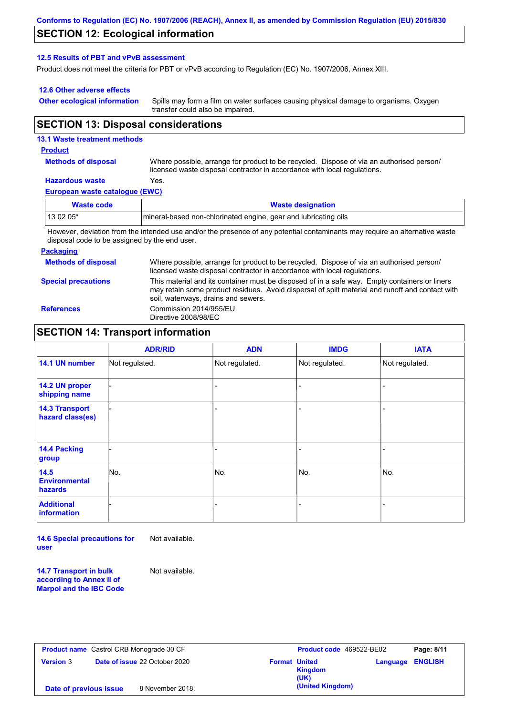### **SECTION 12: Ecological information**

### **12.5 Results of PBT and vPvB assessment**

Product does not meet the criteria for PBT or vPvB according to Regulation (EC) No. 1907/2006, Annex XIII.

### **12.6 Other adverse effects**

**Other ecological information**

Spills may form a film on water surfaces causing physical damage to organisms. Oxygen transfer could also be impaired.

### **SECTION 13: Disposal considerations**

### **13.1 Waste treatment methods**

#### **Product**

**Methods of disposal**

Where possible, arrange for product to be recycled. Dispose of via an authorised person/ licensed waste disposal contractor in accordance with local regulations.

## **Hazardous waste** Yes.

| European waste catalogue (EWC) |  |
|--------------------------------|--|
|--------------------------------|--|

| Waste code                                                                                                                  | <b>Waste designation</b>                                        |  |
|-----------------------------------------------------------------------------------------------------------------------------|-----------------------------------------------------------------|--|
| $130205*$                                                                                                                   | mineral-based non-chlorinated engine, gear and lubricating oils |  |
| However, deviation from the intended use and/or the presence of any potential contaminante may require an alternative waste |                                                                 |  |

However, deviation from the intended use and/or the presence of any potential contaminants may require an alternative waste disposal code to be assigned by the end user.

#### **Packaging**

**Methods of disposal Special precautions** Where possible, arrange for product to be recycled. Dispose of via an authorised person/ licensed waste disposal contractor in accordance with local regulations. This material and its container must be disposed of in a safe way. Empty containers or liners may retain some product residues. Avoid dispersal of spilt material and runoff and contact with soil, waterways, drains and sewers. **References** Commission 2014/955/EU Directive 2008/98/EC

### **SECTION 14: Transport information**

|                                           | <b>ADR/RID</b> | <b>ADN</b>     | <b>IMDG</b>    | <b>IATA</b>    |
|-------------------------------------------|----------------|----------------|----------------|----------------|
| 14.1 UN number                            | Not regulated. | Not regulated. | Not regulated. | Not regulated. |
| 14.2 UN proper<br>shipping name           |                |                |                |                |
| <b>14.3 Transport</b><br>hazard class(es) |                |                | ۰              |                |
| 14.4 Packing<br>group                     |                |                |                |                |
| 14.5<br><b>Environmental</b><br>hazards   | No.            | No.            | No.            | No.            |
| <b>Additional</b><br><b>information</b>   |                |                |                |                |

**14.6 Special precautions for user** Not available.

**14.7 Transport in bulk according to Annex II of Marpol and the IBC Code** Not available.

|                        | <b>Product name</b> Castrol CRB Monograde 30 CF |                      | Product code 469522-BE02 |          | Page: 8/11     |
|------------------------|-------------------------------------------------|----------------------|--------------------------|----------|----------------|
| <b>Version 3</b>       | <b>Date of issue 22 October 2020</b>            | <b>Format United</b> | Kingdom<br>(UK)          | Language | <b>ENGLISH</b> |
| Date of previous issue | 8 November 2018.                                |                      | (United Kingdom)         |          |                |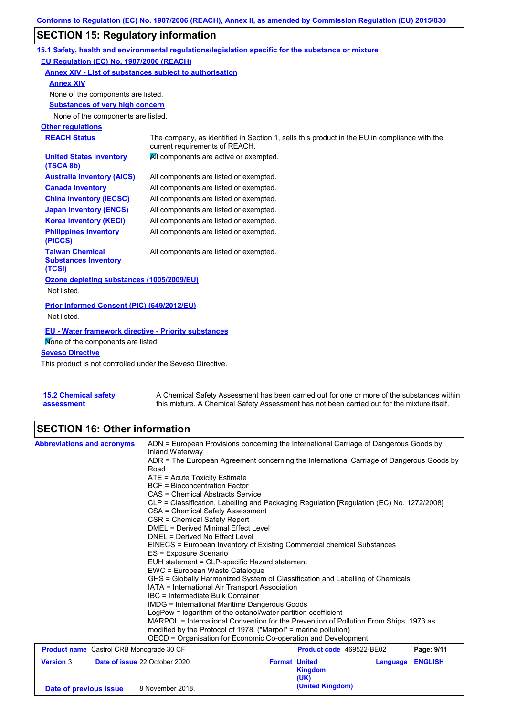# **SECTION 15: Regulatory information**

|                                                                                                           | 15.1 Safety, health and environmental regulations/legislation specific for the substance or mixture                            |  |  |
|-----------------------------------------------------------------------------------------------------------|--------------------------------------------------------------------------------------------------------------------------------|--|--|
| EU Regulation (EC) No. 1907/2006 (REACH)                                                                  |                                                                                                                                |  |  |
| <b>Annex XIV - List of substances subject to authorisation</b>                                            |                                                                                                                                |  |  |
| <b>Annex XIV</b>                                                                                          |                                                                                                                                |  |  |
| None of the components are listed.                                                                        |                                                                                                                                |  |  |
| <b>Substances of very high concern</b>                                                                    |                                                                                                                                |  |  |
| None of the components are listed.                                                                        |                                                                                                                                |  |  |
| <b>Other regulations</b>                                                                                  |                                                                                                                                |  |  |
| <b>REACH Status</b>                                                                                       | The company, as identified in Section 1, sells this product in the EU in compliance with the<br>current requirements of REACH. |  |  |
| <b>United States inventory</b><br>(TSCA 8b)                                                               | All components are active or exempted.                                                                                         |  |  |
| <b>Australia inventory (AICS)</b>                                                                         | All components are listed or exempted.                                                                                         |  |  |
| <b>Canada inventory</b>                                                                                   | All components are listed or exempted.                                                                                         |  |  |
| <b>China inventory (IECSC)</b>                                                                            | All components are listed or exempted.                                                                                         |  |  |
| <b>Japan inventory (ENCS)</b>                                                                             | All components are listed or exempted.                                                                                         |  |  |
| <b>Korea inventory (KECI)</b>                                                                             | All components are listed or exempted.                                                                                         |  |  |
| <b>Philippines inventory</b><br>(PICCS)                                                                   | All components are listed or exempted.                                                                                         |  |  |
| <b>Taiwan Chemical</b><br>All components are listed or exempted.<br><b>Substances Inventory</b><br>(TCSI) |                                                                                                                                |  |  |
| Ozone depleting substances (1005/2009/EU)<br>Not listed.                                                  |                                                                                                                                |  |  |
| Prior Informed Consent (PIC) (649/2012/EU)<br>Not listed.                                                 |                                                                                                                                |  |  |
| <b>EU - Water framework directive - Priority substances</b>                                               |                                                                                                                                |  |  |
| Mone of the components are listed.                                                                        |                                                                                                                                |  |  |
| <b>Seveso Directive</b>                                                                                   |                                                                                                                                |  |  |
| This product is not controlled under the Seveso Directive.                                                |                                                                                                                                |  |  |

| <b>15.2 Chemical safety</b> | A Chemical Safety Assessment has been carried out for one or more of the substances within  |
|-----------------------------|---------------------------------------------------------------------------------------------|
| assessment                  | this mixture. A Chemical Safety Assessment has not been carried out for the mixture itself. |

# **SECTION 16: Other information**

| <b>Abbreviations and acronyms</b>               | ADN = European Provisions concerning the International Carriage of Dangerous Goods by                                        |                                                                               |                          |          |                |  |  |
|-------------------------------------------------|------------------------------------------------------------------------------------------------------------------------------|-------------------------------------------------------------------------------|--------------------------|----------|----------------|--|--|
|                                                 | Inland Waterway                                                                                                              |                                                                               |                          |          |                |  |  |
|                                                 | ADR = The European Agreement concerning the International Carriage of Dangerous Goods by                                     |                                                                               |                          |          |                |  |  |
|                                                 | Road                                                                                                                         |                                                                               |                          |          |                |  |  |
|                                                 | ATE = Acute Toxicity Estimate                                                                                                |                                                                               |                          |          |                |  |  |
|                                                 | <b>BCF</b> = Bioconcentration Factor                                                                                         |                                                                               |                          |          |                |  |  |
|                                                 | CAS = Chemical Abstracts Service                                                                                             |                                                                               |                          |          |                |  |  |
|                                                 | CLP = Classification, Labelling and Packaging Regulation [Regulation (EC) No. 1272/2008]<br>CSA = Chemical Safety Assessment |                                                                               |                          |          |                |  |  |
|                                                 | CSR = Chemical Safety Report                                                                                                 |                                                                               |                          |          |                |  |  |
|                                                 | DMEL = Derived Minimal Effect Level                                                                                          |                                                                               |                          |          |                |  |  |
|                                                 | DNEL = Derived No Effect Level                                                                                               |                                                                               |                          |          |                |  |  |
|                                                 | EINECS = European Inventory of Existing Commercial chemical Substances                                                       |                                                                               |                          |          |                |  |  |
|                                                 | ES = Exposure Scenario                                                                                                       |                                                                               |                          |          |                |  |  |
|                                                 | EUH statement = CLP-specific Hazard statement                                                                                |                                                                               |                          |          |                |  |  |
|                                                 | EWC = European Waste Catalogue                                                                                               |                                                                               |                          |          |                |  |  |
|                                                 |                                                                                                                              | GHS = Globally Harmonized System of Classification and Labelling of Chemicals |                          |          |                |  |  |
|                                                 | IATA = International Air Transport Association                                                                               |                                                                               |                          |          |                |  |  |
|                                                 | IBC = Intermediate Bulk Container                                                                                            |                                                                               |                          |          |                |  |  |
|                                                 | <b>IMDG = International Maritime Dangerous Goods</b>                                                                         |                                                                               |                          |          |                |  |  |
|                                                 | LogPow = logarithm of the octanol/water partition coefficient                                                                |                                                                               |                          |          |                |  |  |
|                                                 | MARPOL = International Convention for the Prevention of Pollution From Ships, 1973 as                                        |                                                                               |                          |          |                |  |  |
|                                                 | modified by the Protocol of 1978. ("Marpol" = marine pollution)                                                              |                                                                               |                          |          |                |  |  |
|                                                 | OECD = Organisation for Economic Co-operation and Development                                                                |                                                                               |                          |          |                |  |  |
| <b>Product name</b> Castrol CRB Monograde 30 CF |                                                                                                                              |                                                                               | Product code 469522-BE02 |          | Page: 9/11     |  |  |
| <b>Version 3</b>                                | Date of issue 22 October 2020                                                                                                | <b>Format United</b>                                                          |                          | Language | <b>ENGLISH</b> |  |  |
|                                                 |                                                                                                                              |                                                                               | <b>Kingdom</b>           |          |                |  |  |
|                                                 |                                                                                                                              |                                                                               | (UK)                     |          |                |  |  |
|                                                 | 8 November 2018.                                                                                                             |                                                                               | (United Kingdom)         |          |                |  |  |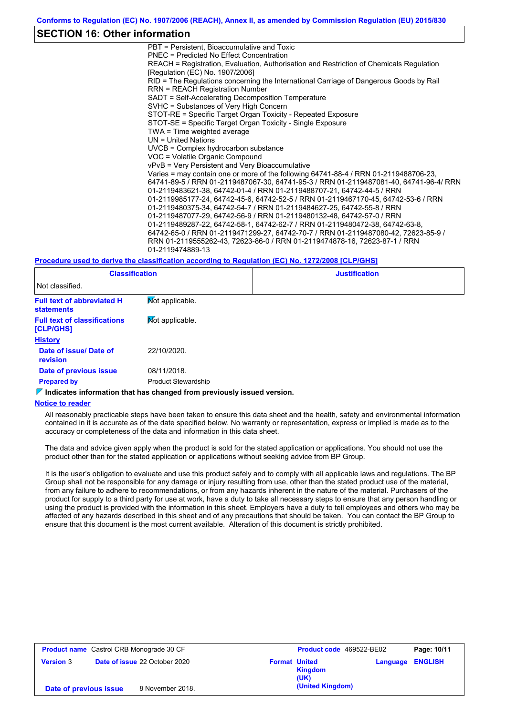### **SECTION 16: Other information**

PBT = Persistent, Bioaccumulative and Toxic PNEC = Predicted No Effect Concentration REACH = Registration, Evaluation, Authorisation and Restriction of Chemicals Regulation [Regulation (EC) No. 1907/2006] RID = The Regulations concerning the International Carriage of Dangerous Goods by Rail RRN = REACH Registration Number SADT = Self-Accelerating Decomposition Temperature SVHC = Substances of Very High Concern STOT-RE = Specific Target Organ Toxicity - Repeated Exposure STOT-SE = Specific Target Organ Toxicity - Single Exposure TWA = Time weighted average UN = United Nations UVCB = Complex hydrocarbon substance VOC = Volatile Organic Compound vPvB = Very Persistent and Very Bioaccumulative Varies = may contain one or more of the following 64741-88-4 / RRN 01-2119488706-23, 64741-89-5 / RRN 01-2119487067-30, 64741-95-3 / RRN 01-2119487081-40, 64741-96-4/ RRN 01-2119483621-38, 64742-01-4 / RRN 01-2119488707-21, 64742-44-5 / RRN 01-2119985177-24, 64742-45-6, 64742-52-5 / RRN 01-2119467170-45, 64742-53-6 / RRN 01-2119480375-34, 64742-54-7 / RRN 01-2119484627-25, 64742-55-8 / RRN 01-2119487077-29, 64742-56-9 / RRN 01-2119480132-48, 64742-57-0 / RRN 01-2119489287-22, 64742-58-1, 64742-62-7 / RRN 01-2119480472-38, 64742-63-8, 64742-65-0 / RRN 01-2119471299-27, 64742-70-7 / RRN 01-2119487080-42, 72623-85-9 / RRN 01-2119555262-43, 72623-86-0 / RRN 01-2119474878-16, 72623-87-1 / RRN 01-2119474889-13

#### **Procedure used to derive the classification according to Regulation (EC) No. 1272/2008 [CLP/GHS]**

| <b>Classification</b><br>Not classified.               |                            | <b>Justification</b> |
|--------------------------------------------------------|----------------------------|----------------------|
|                                                        |                            |                      |
| <b>Full text of abbreviated H</b><br><b>statements</b> | Not applicable.            |                      |
| <b>Full text of classifications</b><br>[CLP/GHS]       | Mot applicable.            |                      |
| <b>History</b>                                         |                            |                      |
| Date of issue/ Date of<br><b>revision</b>              | 22/10/2020.                |                      |
| Date of previous issue                                 | 08/11/2018.                |                      |
| <b>Prepared by</b>                                     | <b>Product Stewardship</b> |                      |

### **Indicates information that has changed from previously issued version.**

#### **Notice to reader**

All reasonably practicable steps have been taken to ensure this data sheet and the health, safety and environmental information contained in it is accurate as of the date specified below. No warranty or representation, express or implied is made as to the accuracy or completeness of the data and information in this data sheet.

The data and advice given apply when the product is sold for the stated application or applications. You should not use the product other than for the stated application or applications without seeking advice from BP Group.

It is the user's obligation to evaluate and use this product safely and to comply with all applicable laws and regulations. The BP Group shall not be responsible for any damage or injury resulting from use, other than the stated product use of the material, from any failure to adhere to recommendations, or from any hazards inherent in the nature of the material. Purchasers of the product for supply to a third party for use at work, have a duty to take all necessary steps to ensure that any person handling or using the product is provided with the information in this sheet. Employers have a duty to tell employees and others who may be affected of any hazards described in this sheet and of any precautions that should be taken. You can contact the BP Group to ensure that this document is the most current available. Alteration of this document is strictly prohibited.

| <b>Product name</b> Castrol CRB Monograde 30 CF |  |                               | Product code 469522-BE02 |                  | Page: 10/11 |                |
|-------------------------------------------------|--|-------------------------------|--------------------------|------------------|-------------|----------------|
| <b>Version 3</b>                                |  | Date of issue 22 October 2020 | <b>Format United</b>     | Kingdom<br>(UK)  | Language    | <b>ENGLISH</b> |
| Date of previous issue                          |  | 8 November 2018.              |                          | (United Kingdom) |             |                |